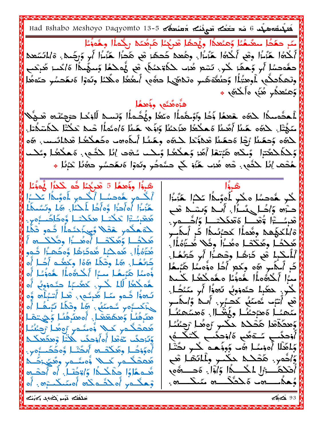Had Bshabo Meshoyo Daqyomto 13-5 مداملته المستمرين شده مله المستمرين

مَمْرٍ حَمَّجًا سِعْيَمْنَا وَصَعِدًا وِلْحِمًا مَدِجْنَا هَرِمُيَكَ رَجَّدَأَا وِحْوَمُا أَكْثَا هَّنْنُا وقْعِ أَكْثَا هَّنْنُا. وهُعْدْ حُحقَرْ فْعِ هَجْزا هَّنْنُا أَبِر وَرَضَدْ. ةَالمَنْتَعَذ حَقُّوصَبُا أَبِرٍ وَحَقَّةٍ كُتُرٍ. تَشْعَ هُذِبَ خَكَاةِحَتُكَمْ هَيَ يُوجَحْمَا وَسَهَّيْجًا وَابْتَحَت هَزِيْحَت وتَتَعَكَّلُوهُمْ أُومِنُهُمْ أَوْحَلُثَةٌ هُبِرٍ وَتَذَارُّهُمْ أَسْتَعْظُلُو مَكْتُمْ وَنُورًا وَيَخْصَبُرِ حكوهُا أَوَّهَنُعْكُمْ هُنَّ وَأَخْذَى \*

## فَأَوهُكُمْ وَوَكِّعُا

ـلْـعثَـمـىدًا ـلاهَاه ـعْـعَـمُا ذُكُـا وَزَوْــعُماًا مِـنَـعُـا ولُكُــمَــاًا وَنَــــــم لَّاذِنُــا حرَجئتـه شــؤْلا مَكْمَتْلَ. كَمَهُمْ هَمْلُ أَهْمِلُا هَجْكَعُلْ هِزَجْتُنَا وَاؤُلِهُ هَمْنُا هَامَتْمَا كَسَلَا كَلَا تَحْكَ لِكْتُهِ، وُحِمِّسُلْ رُجَّلْ هُحَمِّسُلْ شَكَّرَتُكُلُّ لَحْكُمْ وَحَمْلُكُمْ مُحَمَّدُهُ الْمُحَمَّدُ اللَّه وَحِكَمُحَضَّرَا ۖ وَحَكَمَ هَزَتَهَا أَهُدَ وَحَكْفُ وَحَكَبَ حُمْدَ إِنَّا حَدَّهِ. هَحَكْفُ وِتُحَب هُتَّتِ إِبْلَ كَثَيْمٍ . ثَـهِ هُنَى هُنُوْ كُلِّ حَسَّمَتُو وِنَهُوْا ةَبَعَّصَبُو حَمَّلًا تَجْرُبُا ﴾

هْبِؤُا وِؤُهِمُا 5 هُرِيُمُا خُمْ كَلَالٌ فَهُوَمُا كُرِ هُوصِمًا وكُرِ لَمُومَّطًا عَكَبًا هَنَّمَّا أكْتُمر هُوصِيًا أَنْكَتُمْ لِمُؤْتِمًا تَحْتَرَا هَّنْدًا أَهاِّدَٰا وُهاِّدًا لِمَكْلَفِ هَا وِتَسَكَّلَا حَنُّوه وَٱكْتَابُ ٱلْمَسْرَانَ ٱلْمَسْرِيَاتِ وَمِنْهُمْ شَيْءٍ مَعْبِتْ الْكَتَا مِكَكْسًا وُوَجَاجَتْ وَبِ هْرِسُــٰٓءَٳ ۖ ۊُڡۜٛٮـٰلٍ هٗقَعَكَـۡـَـٰلِ وَۗاهُـِــوِرِ. للقملُمر مْقَلا وُيخْتَمَاْ ثُمْو ثَمَّا ة/الْكَوْهِمْ وِهُواْلْ كُحَرُسُكْلْ ثَمِ أَمْكَسِبِ مَكْشًا وَمَتَّكْشًا أَومُنْ أَو مُكْكَنُ وَ مَكْشًا ومَكْكْسًا هِمْدُاْ وِثْلا مُحْوَّمُاْ). هُتَوُّهُمُّا. هُدَكُمْ هُدَدَّهُا وُدَّهْدًا شُدِو ٱلۡمَـٰٓدَـٰٓ لَىٰ ۖ كَـٰٓتُهُـا ۚ وَحْمَـٰٓ ۚ إِلَّا ۖ كَـٰٓتُـٰهُـا ۚ .<br>كَـٰ ٱيۡمَـٰبِ ۞ه وكمِ ٱكُـا هؤْهَـنُا هَٰٓبُـَـٰهَا دَٰنُمُـا. 1َهَٰ، وَثَمَلُ 1َهُءُا وَحُمْدَهُ أَحُـا أَه وُّومُا هَٰبُهَا مِيْنَ أَكْدُوُهَا هُوَٰئًا أَو مِبْرَا أَكْثَةُهِ أَا هُوَذُكُمْ وَهُوكُلُّكَ كَنْتُمْ هُمكْعُل لَّالِم حُبْ، حُعَّبَهِ حَيَّمَوْوِنُ أَه لْكُنْ حَتَّدِا حَثَّدَوْنِ نَهُوَّا أَبْنَ مُنْحُلَّا. تَهُوُّا شُومٍ مَمَا هُرِسُونَ هَا أَتَبُرْآهِ وُو هْمِ أَنْتَهِتْ غُمْنَكُمْ كَحْسُبُو. أَلْبَدَا وَّالْجَمْسُو وأَكْمَدُومِ شَمْعَةٍ. وَلَمْ وَتَمَلَّمُ تَرْمَضُوا أَنَّ مَعْصُلًا هُمْ حِنْبًا وِلَهَ يَشْلًا . هُمْسُعِنْتُ َهنَرِهُنَا وَهِهَمَهُمَا. أَهْمَنُرِهُنَا وَجَيَنَهَا وَهكَذْهَا هَشْكُمْ حَكْسِ وُوهُا رُجِئْتُا مُعصَّكُم كَبِلا وُمِنَّـم وَوهُـا رَحِسُـُا أُوْحِكُــي ـُــتَاهُــع كَاوْحِكُـــع لَـُـتَكَـــكَ} وَتَرْحِكُ عَوْهَا أُوأُوْحِكُ لِلْآيَا وْمِدِّعِيكُــدْ وَٰٰٰٰٰٰٰٓٓٓٓٓٓٓا اُہۡفَسَٰٓا ہُٰٰٰٓٓٓ وَٰٓوِٰٓؤُھُمۡ گُـٰبِ نَکَتْٓا أُهوَوَهُــا وهَكُفُـــه ٱِلصَّـْـا وُهمَّهُـــرُهنِ. وَٱحُمر. هَصْلُمْ مِكْسِرٍ وِلْمُتَشَارِ هَي فعفكمر كللا أهشمر وفيخ فكا أَصْحِفَ زَلِ لِمُكْمَدُ أَوْلَوْلَ. هَــــوْهِ مِ مُحْدِهَاوُا حَمْكُمُا وَاوْحُتَاً. أَوْ أَحْصُرِهِ وُهدُ مِنْ مَكْثُلُ مِنْ مُكْسِنَةٍ. وْهِكُمْ وْالْمَدْعَدْ وْالْمَسْكَسْرُهِ ۚ أَهْ تلناهم بالخطر بابه تلفله  $\pi$ dir $\leq 93$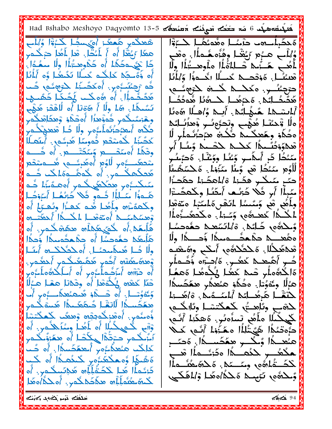Had Bshabo Meshoyo Daqyomto 13-5 xdrinx x مَعْ مَتَّعَمُّهُ 6 مَعْ مَعْمَلُونَ بِهِ مَعْنَهُمْ بِهِ ا هَعِنْدُمٍ هَمِعًا أَيْ سِجًا كَيُرْةًا وُٱلْمَبِ ةَ حَضَرِأَـــهِ بِ صَرْمُــا وَهُومُهُــا كَــَرْوَّا مَعَا رَبُغْا أَه إِ لَمُخْلِ مَا لَمُمَا حَكَمَ وُٱلْمِ هَـزُمْ رَيْقُـاْ وِفُذُهِ هُـهِأَا. وَمَّعِ كَا تَقْ حَكْمًا أَه كَتْمُوهِـتُٰهَمُّا وَلَا مَكْمُواً. لمُعْبِ هَــَبْك كَــالمَةُ إِلا هِلْوِهِــتُوَلَّا وِلَا أُه وَّهۡـجَٰٰهٗ كَلِيُّـه كَــلًا تَكۡـعُـا وُهٖ ٱلۡلَٰلَ هْننُفْ). هُوْتْحِـــدْ كُنـــلًا انْحَــووُّا وَٱلْمُلْ ڞۘ؋ڔڝڵؙڔ۫؋ڔ؞ڷؙٛڡڬڞٞڹؙٳۦڂؿ؈ؽۅ<br>ۿؘػؽؘۻٛڡڶؙۭٳ؞ڷؙ؋؞ۭۿؘڡ۪ڴٮ*؞ڸؙ*ۭڞؘڬۭٳڞؘڞڝ هَضَّحُــائَـه. هَـمَءِهُــا ـلـــهُنَا هُودُحُــا نَسْمَلُدْ. هَذَا وَلَا أَ هَوَتَا أَو لُلْقَدْ: هَيْبَ أَمَانِسْتِكُمْ هُنُوا مُكْرٍ. أَبِيكَ وُاهِلًا هَءِنُا وهزمُبِكُمرٍ شُوْوَهرُا أُوشِكُو وَهكَاهَكُمْرِ دلًا وْحَسْلَ هُوْمِي وِتَحِرُّونُــو وْهَدُنُــائَـهِ فُكْم أَعدَمُنُمَأجُورِ وِلَا حُـا هَعدِيْكُورِ ەككە وكھكىك ئىكە ھۆدۇئەگەر لا كَحَبَّارِ كُمْسْهُم فُومِّمَا هُرِسُو. أَعْمَالَ هَدْوُوْظُـُـمِدًٰا ۖ كَـٰــٰـٰدَ ۖ حَــْــٰدَ وَّـنُـا أَبِ وَثَمَّلَ أُوسُقَــــمِ وَسَكَتْــــمِ أَو ذَــــو بِمَنْڪًا کَہِ اُۡـٰھَٰــٰبِ وَّنْـُـٰا وِوَٰٓنَـٰا۔ ۃَڪَۂِنـٰبِ مْطِكِّسِيُّومِ لْلْوُمِ أُوهُدِيْسَمِ هُـــومْقُو لْلْوُم مَنْحُل هُي وُمِنُل مَنْزَوْلَ. هَـْــٰمَـٰقُمِنُلْ مُعلَّمَعٌـــمَہِ. أَه خُمصُــمِمَاحُــ ثَـــم حَيْ بِمُكْـرٍ فَضُهْا ةَالْمَضُهْا حَقِّصَةُا سُكِّبُومِ مِكَكَّهَكُمْ أُومِدُيَّا شُهِ مَبِّبِهِۗا أَبِرٍ ثَلاَ حَرْبُـم أَمَثَـٰا وِكَـٰمَـثْرَا هَدَوْا مُكْلَمُ الصَّحْمِ هَٰلا كَرْتُهُمَا أَجْوَدُوا وأهُد هُي وُسُسُل النَّقْرِ هَاسَّتِها مَتَّةَهَا وِكُعَفَنْهِ وَلَمُحَلَّ هُـد حُدْرًا وِنُدَخِّلَ أَه لْمُكْمَا كَعْدَوْهِ وَحَـٰٓئِلَ مِكْتَعَفَــَّ;هِ أَلْ وسلمكك أمتوها الحك أأحمكت وَْكِلُهُم ۚ صَٰلَتُكُمْ. وْالْمُتَعَمَّدُ حَفَّوْصُبَا فَلَعَمْ أَو حُكَى عَلِمْلَهِ مِحْمَةَ حَمِرٍ. أَو وهُعنَــــمْ حمْـمحْـــــوملاً وَّحــــداً ولَّا هَلَّكُمْ حِقُوصِيًا أَو حِكْمِخُوسِكَا وُحِكَا هْدْهُكْلْل: هَكْحُكْدُهِ، أَسْكُم وهُمْعْبَد ولًا حُــل مُحكِّمحمُــل. أُوححَفْحَكــرو أَعنَــل وْمِدەَ حَمْلَاهِ ۚ أَخُصِ مَحَمَمِنَكُ مِن أَحْمَدُ مِنِ . صُــرٖ أُهۡبِعــد كَعُــرٍ. هَٳصِرَٓاه وَّصُــهلُر دَّاجُّهُومُ صَدِّ حَمُّا هُكُومُا وَصَ**مُ**اً أُه دْالْله أُخَرُّهِكُمْبُومِ أَه أَسْلَكُلُّهُمْلُمُّومٍ حْمًا حُمْدَه كُثْفَهَا أَهُ وِحْمَرْا هِمْـا هـِرُلَاً هَزُلًا وتَوْثَلُ: ٥كُلُوْ هِنُعِيْكُمْ هِمُكْسِدًّا وَغُوُيْسَا. أَه شَــْدُوْ هُـبْعَبُعْدًاســرُّەبْ أَب حتقا هُوهُــامُمْ أَلْمَــمُـمْ. وْأَهُــزْ ممَّحَسِجًا لَّاتِشَا حُيمَٰهَٰ جَا مَسْهَكُونِ لحذي وتُلِعتُه كمكتشا وتُلكُم ؤْەسُّەرٍ. أُەتْبْزِيْگُودِيْرَة وْهِتْفْ كَلِمْكْتَشِلُ لْكَهِكْبُلَا مَأْهُيْ يْسَأْمَنُو. هُڪْئِطْ آَئْـُمِ وْآب گُـمِيكَـبُلا أَه لَمُحلِّ مِـبُنَكِـدَمِر. أَه<br>اَخْبِـكُـمر حـَزِتُكَالِيكِـدَّـل أَه مِعَزِنَبِـكـمر الْمَكْمَ لِصَاْلِمَ مِنْ مَنْ أَمْلَاسَ مِنْ مَنْ مَنْ الْمَدْمَةِ مِنْ الْمَدْمَةِ مِنْ الْمَدْمَة هنعدها وُلَّكَ و هِمَّكَسَــدًا. وَجَنَــر كَالِكُ مَنْعَكُّوْمِ أُنْعَمَّضُنَّكُلَّ أَهْ شُنَّ ـمحْـدُــــر ـحـدُّصـــدُّا هَــَــْـــداًا هَـــبِ ەَھَىمًا وُەھكْتُبُوپر گىنُصكَا أَە كَب كْكَــْقُارُهُم، وسَــْمَمْ. هَـلاهُمْعُنَـْـهِ أَا دَٰنَـٰماًا مَٰـا ـكَـٰٓـٰٓةً إِلَٰهٖ مَدٖسَـلِـكـٰمِرِ. أُه وَحْدَثَهِ، تَوْمِيهِ هَكَذُاهِ هَا وَالْمَفَكِي لَّكْتُوَجِّعْتُمْ أَبَاءُ مِكْكُمْ كُمْرٍ. أُو كَذَّاُومُا تلناهم بالخطر بابه تلفله  $\mathcal{R}$   $\mathcal{A}$   $\mathcal{A}$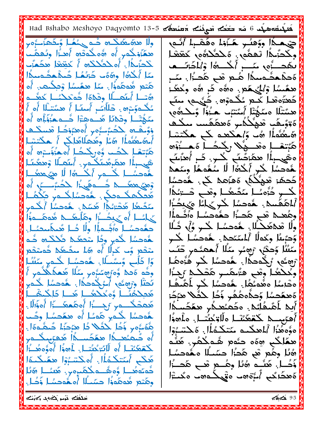Had Bshabo Meshoyo Daqyomto 13-5 xdrinx x مَدْمُ مَعْهَدَا 6 مَعْ مَعْمَلَ بَاسَةَ بِهِ بَيْنَ مَعْه وأا مذهبها والمن مده مكتفيفه الم حِيْجِيَّةِ وَوَقِيَّةٍ جَنَّوْطٍ وَقَضْرِطٍ أَنْسَمِ همَّزْفِكُورٍ أَو وَّوكُوْدُو أَهدْٰا وِنُعِقُب وكَحَبْدَا تَعَفَىٰ. هَكَحُكْمُوں كَقَفْا كْحَرْجُالِ أُوحْدْكُمْ أَرْ حُقِقَا مِحَمَّت بَهْجَدَّوْنِ مُنْسِرٍ أَنْكُدْهُا وْالْمُرْتَسْمَ مَا أَحْدُهُ! وهَهًا دَرْهُا دُمْهُدُوسِهُ! ةَحِدَّـمَـمِـدَا هُــع قَبِ هَجــزًا. كَــر هُتُم هُوهُووُل. مَا هِمُسُل وْمِكْتُبْ. أُو هِهُمِمَا وَالْمُهْمَمِ . هِ هُوَ ثُمِّ هُو وَحُمَدَ كُعْتُوهُمْ كُلْمْ يُكْتُوْرُهُ . كُرُّكُمْ مِنَّى مُكْدَوِّدَةٍ وَاللَّاعُمِ أَمِينَا أَرْ هَيْئَا الْمَرْ أَرْ أَرْ هِمَتِنَّلَا مِمَّهُتَلِ ٱمَّتَبَمِ حَـزُوًّا وَحِكْمَى مَكْتُبًا وَدْمَنَا مُنْدِعِتْرَا دُحْدَوْنُهُ أَه ەُقۇلگە ھوڭگەل ەھككىت ئىگىگە وَوُمَقْسَ لِلْحُمُرُمُونَ أَوْمَرُوْجُا هُمَكْنَ فَ الَّحَشَّمُ الْمَاءِ وَالْعَلَيْقِ مَعَنَّسَةِ مَسْتَنْسَلَ أَحْشَحْشُمُاْ الصَّارِ وَهُدَهُااهَاجُ } هكتشا هُبْتُمْسًا وَمْسِيْلًا رَجِّحْسًا وَجِسْيُوْوِ هَّتِمْا لِحَبِّ وُهْرِجُكُمَا أَهْمَزْنُتِهِ أَهْ ەھْجِبْدَا ھِكَرْشُكَ كُبْر. كَبِر أُهزَّىكَ هَيْ أَ مِمْ مُسَكَّمِنٍ أَسْمِلًا وْمَعَنَّا هُوصِمًا كُمْ أَكْثَا لَا مُعُومًا ومَعْهَ هَ حَسْسًا كُلْبِصِرٍ أَكْلُبُوا لَا مِنْ مِعْمَٰنِا كُحفَة شَهْلُكُم هَ فَزَعِهِ لَكِي. هُوصِيُل وَهَيْ مِعَكَمِ دَسَمَ هَيْ الْكَحُبَيِّ إِنْ وَ ِكْـــرِ دُّوَمَــاً مَمَّمَعُــا وقبَ هَـــْ:مُمَّا<br>ٱلْمَفَسَدَ. هُوجسًا خُرِيَامًا وَ<sub>كِ</sub>يَدُوُّا مُعكِّمكُـهِكَ. هُوَصُلِكُـهِرِ مِكَمُـل مَضَعُل مَحْتِبُكُمْاً مَحْمَدٍ. هُوصِبُاً أَنْكُمِراً<br>كَجَابُ أَوْ كَجِيْتُ أَرْ وِكَأَبِعَثُ هُوصَّــووُّاً وهُعده هَي هُدءُ! حقَّقصُد وَٱفْعِلَا وِلَا مْدْهَٰدْـِـٰلَا. ـ هُـُدَــُــا ـ كُــرٍ وُ}َ كَــُلا حَمْدَمُنَا أَوْثُوا أَوْلًا ذَٰلِ مُحَمَّدِمَنَا . وَ۫حَبَّىنًا وكَمالًا ٱلْمَمَّحَـدَ . هُمَحَـنُـلَ كَــرِ<br>مَثَنَّنًا وَحَكَبٍ رَهِـبُرٍ مَثَلًا ٱلْعَمَـدُورِ تَتَبَ<br>رَهِيَّهِ رُكْمَحَدًّا ِ هُمَحَـنًا كَـرٍ فُـزَّمَـلٍ هُوصُل جُوبٍ وِدُا سْعِفَكِ مُحْكَّدِهِ أَحْدِ مْكُمْ وُبْ كَذِلًّا أَنْ هَا سَفَيْعَكُمْ خُوسْتْقُمْ وَا دَٰلَٰے وُسُنَـٰلَا۔ هُوَدِينَـا كَلِمِرٍ مِمْسَـٰلِ وَهُم هَ دَلا وُهَرُوهَنَّوْهِ رِيمًا هُمَكُلُّفُو أَ وككعُلاً وهُم فتُمصِّب هُصْكُمْ رُجِئُ تَحَتَّا وَرَوِّيَّى أَجْكُوحَدًا. جُوصُبا كُنْوَرٍ ەدْىمُا ەھْدْئِھُا. ھُەدىُىا كْبِ لَمُنَّھَا مَعِنْهُشَا وُهِدُنْهُمْ لِمَسْلِ كَلِكُنْهُسَأَ هَ مَعْجِسًا وَحِذْهِهُو وَخَا لِحَفَّلًا مَرَجَّدَ مَعْدَكُـــور رَجَـــزُا (وَهُمْعَــزَا (وَزَالًا . أَبِهِ لَمُمَعُلَهُمْ. وَحَصُوْهُم مِعَصَسِهُا هُوصِبُا كُومٍ هَوسًا أَو هِمُحِسًا وِصُّب أُهرَّمِكُمْ كَمُعَكِّسًا وَلَاءٌكِنُّسَا. وَلَاهُوَا هِمَّــرُومِ ذَكْرٍ لَكَــتَلا مَا مِبْحَمَٰا كَــقَــوَةَا. َوْوَهُدُا ٱلْمَكْسَمَ مُتَنَكَّمُلًا. هَكْسَبُوْا أَه ضَعَنُعبِمُ العَمَّضُسِمُ الْمَعَ ِمِكْدِم هَمَلَكُم مِهُه حَثُم هُـمَكْمُو. هُنُـُه لْكَعْعَنْنْـا أَو لَّاتَبْكْتُـا. ءُرْوُا أُووُومُــزَّا هُنُا وِهُم هُو هُجَا حِسَلًا مِعُوصَيًا هَكُمْ أَسْتَكْمُلًا. أَوْكْتَسْرُوْا هِمُكْمَةَا ذَكَـا. هَنَّـه هُنَا وهُـــو هَـــع هَــــزًا هُمَمُوكُلُّ وُوهُـــوكُمُبِومِ . هُنْــَا وَهُلَّا ەَهدَاكُم أُمَّ تَوْمَعَتْ وَتَّى كُلُّە مَا مَكْتُرَا وهَبْعِ هُوهُووُا حِسْبُلَا أُوهُوحِسًا وُحُلْ. تلناهم بالخطر بابه تلفله  $x + 95$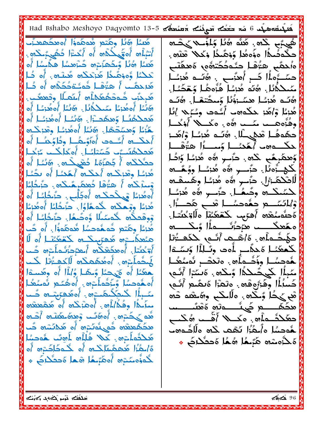Had Bshabo Meshoyo Daqyomto 13-5 xdrinx x مَدْمُ مَعْهَدَا 6 مَعْ مَعْمَلَ بَاسَةَ بِهِ بَيْنَ مَعْه هُنئًا هَنَّا وهُنْعَ هُوهُوواً أومحَدُهِمْ: كَمِيمَ جَمْعَ مِنْهُ مِنْهُ مِنْهُ مِنْهُمْ مِنْهُمْ أَتَبُلُّه أَدَقَى كُلُّهُ أَدْ أَكْتَرًا دُهُى مُكْتِرَ. حكْدَصُكُا دَوُّەھُل وُوْهَىدُا وْكَـلا ۚ هَـْلَهِ . هَٰنئَا هُنَا وُحَٰهَ وَءَ حُنْوَهَنَا فَلَائِسًا أَه واُهمَّع هِ اُقْدا هُدَدُدُهُ وَ وَ مَعْقَبَ تَعْطَا وُهُوَهَبْذَا هُوَيْعَكُلُّهُ هُبِيْتُهُ ﴾ وُ طُ حسَّـــَوْهِــاْ الْكَـــرِ الْهَنَبِ ﴾ . هُنَـــه هُــْــا هَرَحِمًـٰب أَ هِتُوْمًا خُوجُدَوْهُ أَو حُـا سَّىلا\ُمَا. ۞نَه هُزسًا هُزُوهُـا وَحْجَمَـا. هُرِدُبُ شُوشَهُهُكُمْلُو أَعْتَمَالِ وتَعفَّبِ. ھُنَـٰہ هُـٰٓ;ـُـٰل هِـنَـٰٓ;ذُلُّل وُمِـحُـٰٓنقَـلَ. هُنَـٰہ ھَٰنُا اُہھُنا سَىكُمُلُ ھَٰنُا اُہھُنَا اُہ هُزِيْلِ وْاهَٰزِ حِكْمِهِ ۖ أَشُمِتَ وَسُرَجَا إِنَّا هُدهَدُمُـُـا وُهِهُدَـْ:ا . هَنُـُـا أُوهُـ:ـُـا أُو وفُزُه هسب ميّسب رهُه . هكسلا أُوْجُسا هَّزُمْا وَهِيَنْخَهَا. هَيْنَا أُوهُزْمًا وِهْزِيْدِهِ حهُمهُــا مْحَلِيلًا. هُنّـه هُزْـا وْ/هُــ; أحكــــره أَئــــمت أُوَّنُوَــطَـــــل وطُرِّحتُـــل أَو لمكسموهم أتحكسا ومستأل هؤقسا ھُڪھُنَڀَٽ ڪَيَتَايُل اُهگلگَــب عَنْڪل وَهِمْرِهُمْ ۚ كَلَّهُ ۚ حَنَّسِ ۞ هُوَ هُٰٓ وَاحُطْ حثَكَـْدَه أَ جُهزَهَا خُشْيِكُـْهِ . هَنُـُـا أُه ݣُٰۡهُـــ;ُّەلُٰا ۢ. حَنُـــــو ۞ُه هُٰذِـُـــا ووُحُـــه هُزِئِلٍ وَهُزِيْدِهِ أَحِكْمَ أَهْجِئِلٍ أَه بِحَيْلٍ لْاصْلِكُمْرْلِ. حَزْمِي هُو هُزْمُا وهُسْفَـْهِ وْسْلَاكُمْ أَرْ هَـتُوْهَا كُعْجَمْ هُلْكُمْ . جَنْحُلْنَا لكسَّنْكُ وصُّفُا. حَزَّب رَّةُ هُدَيْنَا أُهمُدنا فِيحْجَدُ هُ أُهجَلُبِ. جَنُجُلِنَا أُه هُٰذِيُا وَوَحِكُلُهِ لَكُمْ هُوَارُ الْمُؤَمِّنُوا أَوْهُدِيُا ەُحثُمنُعْدە أُهرَّى كَمْعَنْبْلْ ەلَّاۋىُنى*تْ*ا. وْوْهْدْلُو كُمْمُبْلَا وُوَدّْبِهَا. دَيْجُلْهُا أَو معَعدٌ مِنْ مُرْدُرُسُمِمَا أَوْ مِنْ مِنْ مِنْ هُٰٓزِيٗا وهٗؽع شُوصُيُا هُوهُوَوٗا. أَو شَب حَهُجُداُهِ . هَ/شَبِعَد أَنَّـمِ ۖ كَكَفَــَّرْنَا منعكَبِين هُدِيمِكِ وَكَمْعَيْنَا أَو لَا أَوْكُسًا. أُهْمَدُهُكُمْ أَعْمَدُوْشُمَلَّامِ هُـب لْكَعِكْسًا هَجْمُب لِمُوت وتُبَالَمَا وَيَسْتَوَا هُوَصِبُ إِنَّ وَذُهَالُهُ . وَتَحْصَبُ ثَوَمُعُكُمْ الْمُنْقَصَلَ لَمِحْمَلَـٰـْمِ . أُوهُـهُـعِـْـْمِ لَلْكِـعِــُرْثَا لِكَـب بِعَعَدًا أَنْ يَحْمَدُ وَمَصَارِدُا أَنْ وَهُسَدًا مَبْرِأَا كَيْحَمْلُهُا وُحْدُهِ . هَىسُرَا أَنُصِي أُه هُدَهَنَا ۖ وَّخُذُهُ أُجْرَهُ ﴾ [هَ هُمُص نُدَمُكُمْ ا كُسْلُمَا وِهَٰ;ُوهُمْ. وتَعْزَا هُتَمُّتُمْ أَنُّمِ مُسْبِلًا گُنْجُكُنْكُنْتِرْدَ. أَوْهُدِجْتِسْدَدْ كُنْت مْعَ كَيْحًا وُحْكُمْ. ولَاعْكُمْ وْهُحْتُمْ دْمَهْ سأبدأ وفُدالَمان أوهزكم أو مُخْصِفه مكتفَّ مِنْ كُلْ مِنْ مَتْ مَسْتَمَّةٍ هُو كِحُبْرَهِ ﴾ أُوهَّئُب وْهِهُ حَكْسٌهِ أَصْه حَفَكْتُ ءِلْمَهِ . هَكَـــلا أَقَـــد هُكْمــم مَدَّهُمَمُعَهُو هُمَ يَدْمَرُوهُ مُحَمَّدَتِهِ مَنْ الْمَسْتَمَرِّيَّةَ مِنْ هُوجِسُلِ وأَبِجُزَا يَجْعِبُ كَلِهِ وَلَاجُبِوهِ ۖ هُكْثُمَلّْتَرْهِ . كَمْلا قُلِّلُه لَمُهمَد هُمَدْسًا ەَلْأەسْە ھَبُعْلَ هُعْلَ ەَحثَلاَكَ ﴾ ةُاعْدَٰا هَٰدِهِهَٰئَلِكُ وَ أَو كُوجَاجَدُوهِ أَو لْكُمْؤُوسُتُوْهِ أُوهُبُمُا رُوْها وُحِثْكَاتُ ﴾

تلنابه بالمتلكم سأم تلفظة

 $\mathcal{R}$ المحموم  $96$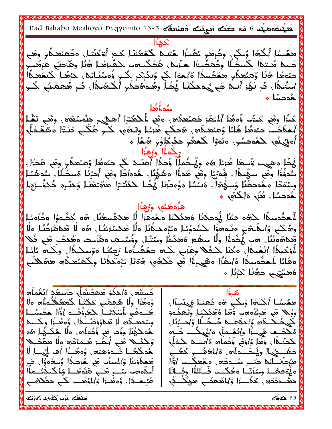Had Bshabo Meshoyo Daqyomto 13-5 ملتحله بدائكم شهوم المستمركين همُسُلِ ٱلْحُرْهَا وَحَكِي. وِحَرِهُنِ تَعْمَدُا هَسْمَ خَفْعَتُنَا حَمِ ٱوْخُشَا. وحَمَيْعَكُنِ وَهَب صْـٰه هُـتمْا كْـٰبِمِّـلُا وِكَعَكِّبِـتْا ـِمِّنَـه. هَٰكَـُــهب كَـفَينهُـا هُلُا وِهَّبْحَبِّ عَبُهُبِ حَمَمَهِا هُنَا وَعِنْعِكُمٍ مِعَجَمِيكَا وَاحِمَا بِكَ وَيَذَبِّدِ كُلِّي وَمِنْتُولِيَكِ حَرِّهُما كَيْعَمِيكَا إِسْتُمَالٍ. ثَمِ نُهُمْ أَسَمًا ثَمَ يُجْمَعُكُمْ لَهُضًا فَهُدَاهُ مِنْكُمُ مِنَّةً مَنْ هُمْشَكِ لَكُس هُ السُّحمُهُ مثملُعُل يُدْرًا وهَى كَتَبَت وَّوهُا ٱلْمُكَرَّ حُمْسُلُاه . وهَى لَمَحْمَدَ الْعَجَلِ صِنَّوْسُوه . وهَى تَقْبِل إُهلَاكُتْ حَدَمُوا فَامًا وَمَنْعِدْاهِ. هَحكَ هُٰٓ: ا وتَـهُۚى كُتَّرِ مُتَكَبِ تَنُـٰٓ:ا هَقَـقَـهُلَ أُهوَيْ لَمْهِ كَحُوجَسُو. وَتَوَرَّا كَلَّمَعُوا حَكَرِكَإِوُرٍ وَمُحَالِّهِ تمال وزَهزا لْمَطَ وهيب تَسعيا هُدِمًا هَو وِلَمِحْمِلًا وَحَدًا أَهتَبِهِ كَلِّ حَمَوٰطٍ وَهتُعِدَّرٍ وَهَي هَجَال مَّدَوُّوًّا وَهَى سَهَّىدًا. هُدُرُىًا وهَى هَدمُاً دَعُكُمُاً. هُدَدُاً وهَى أَدْرُنَا دَسكُـلًا. مندهُنَـا ومَتَوْحًا مِحْوَحِمُلًا وَمِنْهُوْاً. وَبِنْسُلْ وَوُودُنُلْ لَمِحُلْ حَكْتُبْوَا هِوَيَتَوْتَقَالَ وَجِنَبِو كَجْوَجُولُ هُ مِصْلٍ. هُنَّى هَا كُلُّهَى \* فَأَوهُدُو وَإِهْزَا لْمِحْمِيجُا كِنَّةَ حَيْرًا هُجَدَّكُمْ الْمُحَكِّدُ مِجْمَعِيَّا إِلَّا شَكْكُمْلِ. نَّهُم كُخُموا مَخُوَّمَبِ وهُكُم وَٱحذَّشَي وَيُوهوَا حَشَوْمًا وَيُوحِكُمُا ولًا قَحْمَدُنَكَا. هَو لًا قَحْمَٰدَٰضُا ولًا يَّعْـدْهُوَنُنُاْ. هُبِ ۖ هُشُمَاُ! وِلَٰا سَعُدِ ۚ هَعَشَنَا وِسَتَـٰا. وِؤُسَّـت وهَنَّـت وهَدَشَـر هَبِ فَلا لَمُوَكِّدِيدًا إِنْعُدِيَالٍ. وكُمْلا حَشَلا وهَّبْبِ لَحْده حَمَّقَتُوهُمْ رُحِبُهُا ووْسِحْدًا. وكحده عْلِمًا وَقَامًا لَمَحْمَسِمًا وَٱعْذَا وَشَيْءٍ أَا ثَمِ ثَلاثَهِ وَوَقَا £َوَتَدَارَا وِكَعَنُعَـدَاهِ مَتَه الْمُسْم ە لاېن لاھە سرىشتەة مَسْتُم. هَ/محكَّز مُعصَّشَهِ) حَبْسِعَدٍ إِنْهُمَاهِ وُّەمُدُّا وِلًا هُـْعَمَـٰبِ ۚ تَـكْتَـٰلَ كَـٰعْتَكَـٰفُـٰمَاْنَ وَلَٰا هفسُا أَكْشَا وَكَبْ 65 كَعِمًا يَحْسَرُا. هَـــوفَـــو أَسْدُتـــاً ۖـحَمَّـرُوُدَّـــو إِرَّْا ۖــمحَّــسُـــا ووُلا هُي هُرْيَزُههب وُهْلَ هُقْدُلْهُمَا وَتَعَفُّوهُ ومْتَتْتَدَاهَ لَا مْتَدَوَّوْتُشَمَّدًا. وُهِ مُنْ الْمَحْسَنَةُ لْكَيْحُمْكُمْ وَاحْدُهِكُمْ هُسْهُـلًا وَاصِبْنَا. هَكُشَــِّ هَـــةُ أَ وَإِنْغُــملَّهِ 13لِلْكُــٰبِ شَــٰهِ<br>جَلْدَّتَبْدَأَا. فَقُطْ وَافِقَ فَضَفَّاهِ 16سَــط لِكْمَلَهِ هُمَكُمُلُا وِذًى هُي ٰ ذُهُمْهِ . هِ لَا ـهَكَـٰهُـا هُه وَحْتَــٰهُ ۚ هَــع أَنفُــ; هُــعادَه هأا معَفَّــْــه حڤَـــــوۡهَا وِیُــدُّــــواْھ وَالْمُوَّــــو کَعَـــو هُمكْتُما شُــه;هـْتَتَى وُهتُمــُ;ُا أَف لَيُـــا لَٰا ثِعهِكُوْعُلُا وْٱلمْعِدَّاتِ هُمْ هُوَدِكُمْ! وُسِبُّوَوَّا. ثَبِّ ه<sub>َأ</sub>مَّارُكُمْ حَيِّـ مُــودُه و مَعْهَكُــب إِوّْالْ<br>ويْقفشـا ومُأرْثِـا وهُكَــب قْــاللاًا ومُّــالِنَّا أَلْحَاهُ مِنْ شَبِّ شَدْهَــا وَالْكُلُّــدَانَّـــْمَاْاً<br>هَبَــمــداً. وَهمْــزَا وَالمَوَمَّــا كَبِ حثَلاهَـب حَقَّـــوكُـدُه . كَـدَّاــــزُا وْ/اهُـمكَـــحِ شَهْـُــُــكِ ـــرَ تمشابه بالمحرب بأم تطلطهم  $\frac{1}{2}$   $\frac{1}{2}$   $\frac{1}{2}$   $\frac{1}{2}$   $\frac{1}{2}$   $\frac{1}{2}$   $\frac{1}{2}$   $\frac{1}{2}$   $\frac{1}{2}$   $\frac{1}{2}$   $\frac{1}{2}$   $\frac{1}{2}$   $\frac{1}{2}$   $\frac{1}{2}$   $\frac{1}{2}$   $\frac{1}{2}$   $\frac{1}{2}$   $\frac{1}{2}$   $\frac{1}{2}$   $\frac{1}{2}$   $\frac{1}{2}$   $\frac{1}{2}$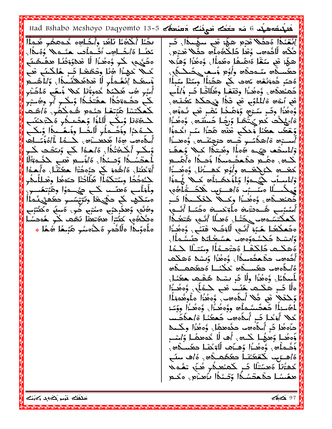Had Bshabo Meshoyo Daqyomto 13-5 من محلَّم مَتَّسَمُهُ بِهِ 13-5 <u>ىغْنَا أَكْمُا نَاهَٰ: وأَحَارُهِ كَـهِمْهُو هَٰـهِ أَا</u> إِنْعَمُدًا هَحَفٌلا مُدِّمِ هِجُمْ هُبِ سَهَّىدًا. كَـَ حَمْلًا ةَامْشَارُوم أَشْجِلْام مُنْدَمَة وُمُحَلَّا. ئِكْتُ لَاَحُدُومِ وُمْلَ خَلِكْتُوبِلُو حَثَلًا مْتَرِم. ەكْرُىم، كُبْر وُەھُـُرَا لَّا شْكَرَّوْحُنُـا ھَـفَّىھُـبَّى هِجُزْ هُي سُقْاً ةَاهُبْقُاً وَهُوَلًا ۚ. وُوهُدُا وَفَنُولاً كَــلًا ۚ كَمْــزَا ۚ هُ۪ئًا ۚ وِحْقَقَـا جَــزٍ ۖ هَٰلِكُتَبِ ۚ قَبِ حَكْسَــْمَاهِ مَــْـوَحَدَّاهِ وِأَوُمِ وَّــْـعِي حَمَــْــكِي. وْمحَكَـــمْ إِنْـهُــٰمَاٰبِ لَٰا مْحَمْحَكْــُـُـمَاٰ). وُٱلْمَــُـــمِ هُحِبٌ خُودُنُهُ» ءُ٥ت کُلِ هَجُزَاً إِ مِئْتًا مِّبِأَا كَعِنُعِكُلُونَ. وُوهُدُوا وِتَتَقَيْلِ وِهَٰلِلاَثْنَا كَبِرَ وُٱلْمَنِي أَــرُم هُــ هَـٰلـبَـٰدُ خُدوةُنَا كَـلا فُــمَّـح هُاحَـٰٓرَمِ كُبُ حصَّـٰہَوَكُمُّا حَقَّتَكُـكُا وَجْكُــرِ أَبْرِ وِهُـــْبِرُ شَبَ مَشَدُ مُكْصِرَ الْمَءَ هُوَ الْمَالَ مَعَدَهُ مِنْ مَعَنْ مِنْ كَعَكْتَسْا هُبُتَعْـا حِثْـه هُـه كُـهُر. هُ/هُـعـ وَّەھُدًا وصُّر سَـُـرْنَ وُوْهَىدُا عُصْر هَــر فَــووْنَ. َكْتَوَتَا وُحِكْمٍ لِّالِمُوْا وُحَصَّىلِكُمْ وَكَتَبَحْتُبَ ةَ الْمَحْدَثُ عَلَيْتُهَا وَرِجًا حَسْنَتُمْ وَهُدُوا لكسَمْدُا وَذُكْمَلُو لَّاحُكْ وَدَّكُمدًا وَّبكُمْ وَحْمَدَ حَمَدًا وُحكَبٍ مُثَبِّهِ مَجْرًا مَبِ الْحَدَوُا أُستِرُه ةَاهِكْسُرِ ثَيْـهِ حَرْجَنْـُـهِ. وُهِمْــزَّا أَحْلُوهِ وَوَا هُجْعَيْتُوهِ . كَسَمًا أَأَوُوَّيُّـاتِ وَ كُلِّي أَكْسُتُمَّا. وَأَحْدَا كُلِّي وَتَنْقُلُ كُلِّي وْالمعدْهَا حَيْثَ الْمُعَبِّذَا لَحِيلًا وَمُسَوِّمًا لَهِ كْتُمْ. وَهُنُعْ حَمْعَتُمِيمًا وَجَنَدًا وَأَهْتُمْ أُهدَمُكُم أَوْصَحُمُ أَنْ ذَاذُهِ مِنْ أَهْلِكُمْ وَاللَّهُ وَاللَّهُ أَوْكُنُنَا. هَ/هُدو ﴾ حَرُّدُوكُ هَمَّتْنَا. ه/هِجَا كَعْبَ هَا كَمُكْمَدِ وَأُوُمْ كَصَـزُنُا. وُهِ هُــزُا وْٱلْسِــأَبِ حَيْحَمُوْا وَٰلِمُحَصَّـٰٓءَلَّاهِ كَـــلاً لِمُّــمَوْا لِـثَدَحُطُ ومَـُتكَـٰهُ أَلَّ مَكْلَاحُتْنَا حَـنَدهُا وقدلمُلَـٰهُـر وِلَمُوْلَىبِ هُمْنَـــد كَــب حيُّـــدوُا وهُبَّتمَــــر. مِهْلُمُسْلًا مِمْسَبُّ هَاهِسِمِهِ لَلْكُشْتُهِ أَهْمِ كُهنُهِ ٩٥. وُهِ هُنْ الْمَحِيبَ لِلْمَكْسِمَا كَثِر ألْمَنْرِيْعَمْهِ حِمْيَهْاً وَتَوَسِّمَتِ حِمْكِمْهِ أَسْبَبَ هُــوتَ هُـ أَوْتَنـِـرَه وكُـّـا أَنُــو ۚ وِرُهُمْ وُهِدُبِيْنِ مِنْتِهِ هُو. هُنْ مَكْتَبَتِ وَفِكْمَوْهِ ۚ كَثُمْ أَ هُوَ تَعْقَلْ نَعْقَفَ لَكُو ۚ هُوَجِئْنَا ۖ الْمَكْتَشَمِهِ بِكَتْبَا. هَ هِـلْا أَنْضِ هَ هَتَمَكْمَا هكَمكْهُا هُبُو ۚ أَنَّبِ لَّاوَكَـٰ قُتَبَ . وُهِهُـٰٓءُا ەلەۋىكا ەللېم ئەلۋەمىر تېگا شىغا م وَّاتِسْكَ كَكْسُووُهِ مِّ مِّسْتِكَلِّكَمْ كَسُسُمَاً. هُهكُـم كَلِكْفْـل هُحْتَوْصُهُاً! وِمَتَسْلًا كَــمُا أُحُوهب حكْلِمحُوسِكُال. وُوهُدُّا وُلِسْلًا وُفَكَّفَ ةُاللَّهُ وَمَا حَقَّىتَ أَنْ تَكْتُبُ وَحَقَّعُهُمْ أَنْ لِمُعِكْلًا. وُهِمُدًا وِلًا ثَمِ بِشَكٍّ هَفْعِبٍ هِمَدًا. ەلَّا كَــر ھڭــعَــمِّنَّــا مَّــح لَـــمُلَّى. وُەھُــزًا وَلِكَتَلاٍ ۚ ثَى ذَلا أَحَدُه مِن ۖ وَۚ مَعُوَّا ۚ هَ لَوِهُدومَاْ! لْمَسْنِدُاْ كُمْحَْسَبُدِهُ، ووُدِهُدُواْ. وُدِهُدُوْا ووَجُدَ كَلا أُوْخُلِ ثَمِ أَحْدُوهِ ۖ ثُعْقَبُا ۚ وَاعْذَفْتُ دَّوهُا ثَمِ أَحَدُّوهِ حَدَّمِهِا. وُوهُنَّا وَحَدَمِهِ وُوهُما وُهِجُما كَنْهَ. أَهَا لَا خُوهِهُما وَٱسْتِر ذَكَملُهن. وُههُدُا وَهنُهم لَلْقِحْسًا حَمَّسَــٰهُهنَ ة/هـــوّب كَــقطَنْــا حطّطَـــمْ10. ة/هـ، منّب كَعْتُوْلٌ هُمِمَّتْلًا ثَبِ كَلّْمَنْعِيمٌ وَ هُنَّى تَعْبَدُ همُسُلِ حِكْمِحْسُمًا وَصْدُاً تُوَحْرَهِ. وكَنْمَ تَحْلُقُكُمْ مَوْمَ بِمُكْتَبَةٍ بِمَكْتَبَةٍ مِنْ مَنْ الْمَدَّوْمَ  $x + \frac{1}{2}$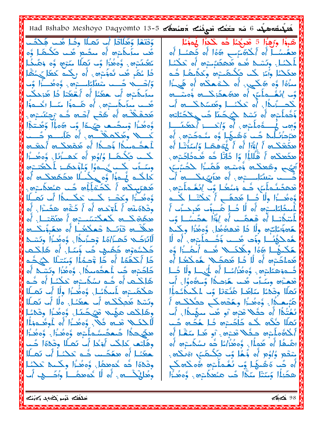Had Bshabo Meshoyo Daqyomto 13-5 xdries x تَعْمَلُكُمْ تَسْمَعُكُمْ مَثْلُوبُ بِمَا Had Bshabo Meshoyo Daqyomto 13-5 وَدْتَهَا وَهُلَاتًا أَبَّ تَعَبَّلَا وَجُبًّا هُبَّ فَكُمَّت هْرِوًا وَرُحِزًا 5 مَْحِجُمًا هُو كَلِّدًا لَمِوَمُّا معمَّسُــاً أَه أَحْمَّتَہُــبِ هَا أَه مِّهـُــا أَه<br>اَحْـُـا. وِنَسْـمْ هُــه مِحْمَضَہُــْرَه أَه تَحَكِّـا هُد سَلَيْكُتِرُه أَهْ سَقَيْمٍ هُبْ ظَكْيَكَا وُهِ غَفَّىنَدِهِ . وُهِمَٰزًا وَّب بُعِلًا مَدِّهٍ وَّه وَهُمَكُـل مُا عُكْرٍ هُبْ ثَوَنُتِهِمْ. أَو رِكْبُو كَعَكَا حَكْثَمَا منكنا وأَءٌ لَكَ دَكْلَهُدْوَهِ وَكَذَلِهَا ذُء وَ}صْلَا حَـــد مْسَلَةِ السَّرْهِ . وُهِ هُـــزًّا وُت سَرَّهُ أَ وَهِ مَكَّبِي. أَه لَكَ مَكَّدُهِ أَه فَيْ أَ سَأَنَكُمْ مَنْ الْمَعَامِلُ أَنْ أَنْقَعَدَا ذَا هُزَيْتُكُ وًا إِنْهُمْمِلْيَ أَنْ هَدَهُ هَذَا لَكَ وَانْقَصْدَهِ تَكْصِبُرُا فِي أَوْ تَكْسُلُ وِهُسَلَامَكْلِ وَ أَب مُحْبَّدٍ مِبْلِكُمِنْتِرْوِي. أَوْ هُنْدُوْلَ مُحْبَلَ الْحُنْدُوْلَ مُعهْلُكُم أَه هُثَى أَحْـم خُـه رُحِنُكُــْ; و وَحَدَاْءِ ۞ أَهْ كَسْمَا كُلْمَ مَا يَكْحَدُانُهُ وَحَدَّاءَ مِنْ الْمَحَدَّاءِ مِنْ الْمَحْمَدِينَ وَّوْمَا فَيْ شَاهَ مِنْ وَالْمَسْرَ أَنْ مَحْكَمَسْ الْمَحْكَمَسَار وَّەهُدُّا وْسَكَنْفْ كَكَمَّارِوُتْ هَامْلَا وَهُدَيْهَا نَمِيهِ وَهُدْهِ لَهُ أَنْ هَامِيهِ وَ حَسَب هُمُحَرُّنُـلِّـمْ حَبِّ وَهُنَّهَا وُهِ يَسْمَحُبْرُهِ . إِهْ أحدُ عبدًا وَحبَّدًا أَن مَّتْعَفِّكُ مِنْ أَحْقَبُهِ مَحَمْدُ مِ ٱ إِذًا أَهِ أَ لَمْ فَعَمَا وَاسْأَتْ أَه لَّــْــَـٰ مَكْـمَّــا وُاوُم أَه كَـفــزُنُا. وُهمْــزُا محَمحُده / قُلْلِهُ إِلَى الْحَلَاثَ هُو هُودُاكُمْ و. وسَبَّاتٍ كِنْتُ فَالْمُؤَارِّ وَلِأَوْجَعَةٍ ۖ لَمَحْقَدَرُوهِ أَلِيَّهِمْ وَهُعَنْدُهُ وََّمْسُرَهُ فَضَـٰزًا لِلْحُبَرِّبِّ كَالْحَد فُءَ أَوْهِ إِحْسَاْ مِدَمَّعَمِكَ مِهِ أَهْ حَسَّبَ شِيسًا مِسْتِرْهِ . أَو هَزَيْ لِلْأَلْبَسِهِ أَب مُعْشَمِلَىّ ثُمْ مِنْعُمِ وَ أَنْفُمْ مِنْهِ . هُدْمَ مِكْمَ أَ كُكْتْمَلِّلُو مُبْ مِنْعِكْتِ و. وُّہ هُــّ:ُ | وكثـــز كُــب تحكّــــهُ | أَب تَعَـــِلَا وُهِ هُــزًا وِلْاَ كِــل هَدفَــبِ أَ يَحْتَــل كُــد إِلَىدَامَاتِهِم أَه لَا حُلِ هُــِرْفٌ هَٰـِدَـٰٓفٌ أَ وَهْلاَهُ نَشْيٌ أَ لَمْ تَدْتَهُ أَنْ كُنْتُوهِ هَدُوْاً. إِنَّ أَسْلُسًا أَو قَعِقَبٍ أَو إِذًا حَصَّيْنَا وَب مدهَّرْهُكُمُ لَمَكْتَسُبْرُو أَصْلَّةَ الْمَسَاءِ أَو مِلَكُسُو قَائِسِكُمْ فَمَكْمُنَا أَو مِمَّرْزَعْكُسُو هَرَوزَائِلِيَّ وَلَا دًا مْدَوْهُمَا. وُوهُنُوا وِكْبُدَ هُمكهُنُــا وِوَّد هُـــب وَّثُــملَّـتِهِ. أَه لُا لَّابُرْكُــلا كَهــزُ/16 وْحـزُبـدًا. وْمِعْـزُاْ وِنُسْـدَ كَكْشُوْرُه كَهُنْهَا كَتَا زُنْتَالَ أَنْ هَالْكُتْفَ هَكُنُوا وَوَٰا وَجَلَاحًا مَنْكُمْ أَيْضُوُّا وَوَ كَا أَخْفَهُا أَه كَا تْحَدُمُاْ وَعَتَلًا حَكِيضُه هُداحُدْه أَو لَا حُا هُدَهُ ﴿ هُوَ لَا دَٰلَ كَاكَتْرُه كَــْ أَحْثَمْسَدًا. وُهَمَّزًا وَيُسَّلَّآ أَهْ<br>هَالْكُــمْ أَهْ ِثَــهِ سَنَدْتَرْهِ تَكْبُـلِ أَهْ ثَـهِ كُدوهكلتوه . وُهِمْزُاسُل أَه لِيُسل ولًا حُسل تَعْمِنْرَهِ وَحَسَرًفَ هُنَا لِمُرْكَبُهُمْ وُسَبُّووُلَ. أَبِّ هكْكَسْرْهِ لِمُعَكْلٍ. وُهِغْدًٰا وِلًا أَبِ تَعِبَّلَا تَعلَّا وِدْمَا مُنَاهَـا هُنْـٰهَ1 وُــ لَمَـٰذُـٰهِ اُ هَبْمِجَلٍّ وُهِمَهُ وَهَدْهِكُمْ حِفَلَكُمْ أَ وتُسْمَ هُجِكْكُمْ أَبْ هِعَيْبَا. وَلَا أَبْ تَجِبَلَا تُمُتُمَّا أَو حَقُلاً ثَدَرَه أَو مَّتْ سَهَّدَاً. أَبّ وهَلِكُم مِهْلًا مْيُحُسًا. وُوهُـزًا وشَمْـُـلِ لَالْكُكُلُّ ثَعْـَهِ ثَلاً. وُهِ هُـٰٓءًا أَه لَموهُـهِ فَلَا تَمَلَّا ثَلْاه لَّدُه ذَاذُبْ ۖ ذَا هُذُه ثَب مِنْهُجِدًا ضَعِضَشُمِلْتِرِهِ وُوَهُدًا. وُوهُدًا أَكْدُّهِكُمْ وَحِقْلًا قُدْرُهِ . أو هُـا مُنْقَا أَه اهَّىعُا أَه هُمِلًا. وُهمُّزَٰامُا شُه سُكِّتِهِ أَه وفَأَتِفٍ كَلِكُتَ أَوْجُلَ أَبَ تَعَبَّلَا وَثَمْوَا كَب لْمَعَيْنَا أَو مِمَّضَيْبَ شَوْ تَكْتَبَا أَبِّ تَعْبَلَا بِتْتُمْ وُأَوُمْ أَنْ وُهَا وُبِ دَكْتُمَنِّي آوَيْكُمْ. وثَمْهَا شَه خُمِعْمًا. وُهِمْهُ وَحَسْمَ تَعْلَمُنَا أُه كُبِ هَٰقُبِهَا وَ سُعْمَلَٰتِهِ هُمَكُمِّ ومُحالِبُكُ مِن أَو لَا خُومِعَهُ أَواكُنِي أَب اهِجَٰزَاْ وَمَثَاْ مَنْذَا جَبِ هِنْعِكُمْوْهِ . وُوهُمْزًا

تحنفته بالمحافظ بنقطفة

 $x + 98$